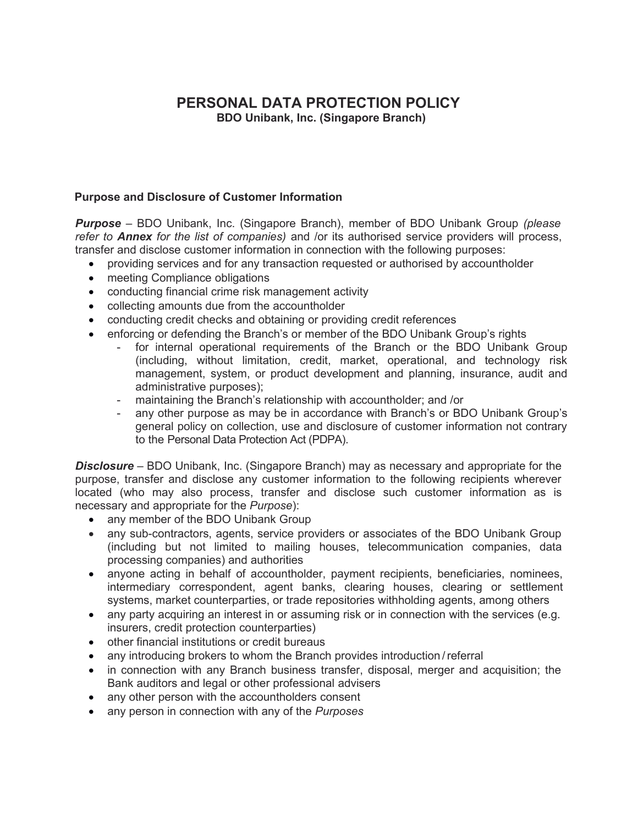# **PERSONAL DATA PROTECTION POLICY**

**BDO Unibank, Inc. (Singapore Branch)**

# **Purpose and Disclosure of Customer Information**

*Purpose* – BDO Unibank, Inc. (Singapore Branch), member of BDO Unibank Group *(please refer to Annex for the list of companies)* and /or its authorised service providers will process, transfer and disclose customer information in connection with the following purposes:

- providing services and for any transaction requested or authorised by accountholder
- meeting Compliance obligations
- conducting financial crime risk management activity
- collecting amounts due from the accountholder
- conducting credit checks and obtaining or providing credit references
- enforcing or defending the Branch's or member of the BDO Unibank Group's rights
	- for internal operational requirements of the Branch or the BDO Unibank Group (including, without limitation, credit, market, operational, and technology risk management, system, or product development and planning, insurance, audit and administrative purposes);
	- maintaining the Branch's relationship with accountholder; and /or
	- any other purpose as may be in accordance with Branch's or BDO Unibank Group's general policy on collection, use and disclosure of customer information not contrary to the Personal Data Protection Act (PDPA).

*Disclosure* – BDO Unibank, Inc. (Singapore Branch) may as necessary and appropriate for the purpose, transfer and disclose any customer information to the following recipients wherever located (who may also process, transfer and disclose such customer information as is necessary and appropriate for the *Purpose*):

- any member of the BDO Unibank Group
- any sub-contractors, agents, service providers or associates of the BDO Unibank Group (including but not limited to mailing houses, telecommunication companies, data processing companies) and authorities
- anyone acting in behalf of accountholder, payment recipients, beneficiaries, nominees, intermediary correspondent, agent banks, clearing houses, clearing or settlement systems, market counterparties, or trade repositories withholding agents, among others
- any party acquiring an interest in or assuming risk or in connection with the services (e.g. insurers, credit protection counterparties)
- other financial institutions or credit bureaus
- any introducing brokers to whom the Branch provides introduction / referral
- in connection with any Branch business transfer, disposal, merger and acquisition; the Bank auditors and legal or other professional advisers
- any other person with the accountholders consent
- any person in connection with any of the *Purposes*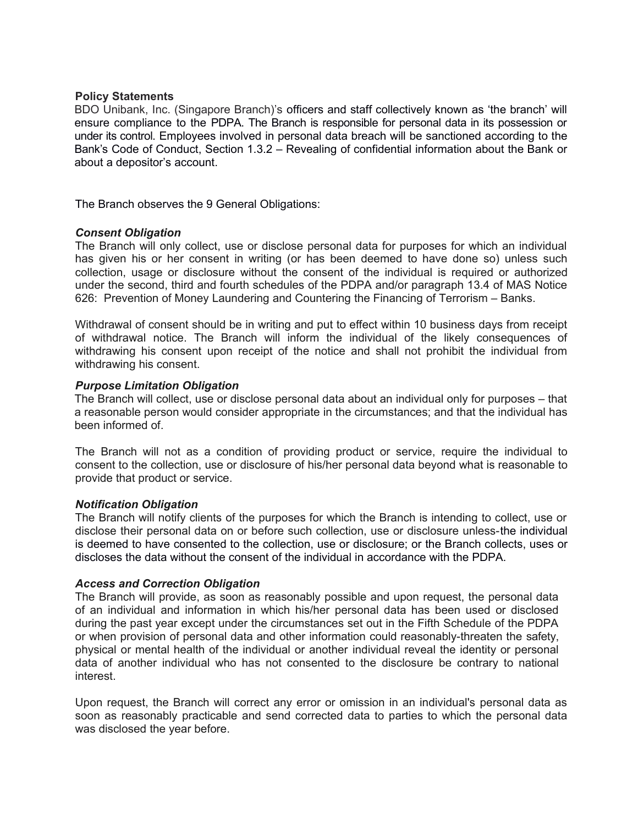## **Policy Statements**

BDO Unibank, Inc. (Singapore Branch)'s officers and staff collectively known as 'the branch' will ensure compliance to the PDPA. The Branch is responsible for personal data in its possession or under its control. Employees involved in personal data breach will be sanctioned according to the Bank's Code of Conduct, Section 1.3.2 – Revealing of confidential information about the Bank or about a depositor's account.

The Branch observes the 9 General Obligations:

## *Consent Obligation*

The Branch will only collect, use or disclose personal data for purposes for which an individual has given his or her consent in writing (or has been deemed to have done so) unless such collection, usage or disclosure without the consent of the individual is required or authorized under the second, third and fourth schedules of the PDPA and/or paragraph 13.4 of MAS Notice 626: Prevention of Money Laundering and Countering the Financing of Terrorism – Banks.

Withdrawal of consent should be in writing and put to effect within 10 business days from receipt of withdrawal notice. The Branch will inform the individual of the likely consequences of withdrawing his consent upon receipt of the notice and shall not prohibit the individual from withdrawing his consent.

### *Purpose Limitation Obligation*

The Branch will collect, use or disclose personal data about an individual only for purposes – that a reasonable person would consider appropriate in the circumstances; and that the individual has been informed of.

The Branch will not as a condition of providing product or service, require the individual to consent to the collection, use or disclosure of his/her personal data beyond what is reasonable to provide that product or service.

## *Notification Obligation*

The Branch will notify clients of the purposes for which the Branch is intending to collect, use or disclose their personal data on or before such collection, use or disclosure unless-the individual is deemed to have consented to the collection, use or disclosure; or the Branch collects, uses or discloses the data without the consent of the individual in accordance with the PDPA.

## *Access and Correction Obligation*

The Branch will provide, as soon as reasonably possible and upon request, the personal data of an individual and information in which his/her personal data has been used or disclosed during the past year except under the circumstances set out in the Fifth Schedule of the PDPA or when provision of personal data and other information could reasonably-threaten the safety, physical or mental health of the individual or another individual reveal the identity or personal data of another individual who has not consented to the disclosure be contrary to national interest.

Upon request, the Branch will correct any error or omission in an individual's personal data as soon as reasonably practicable and send corrected data to parties to which the personal data was disclosed the year before.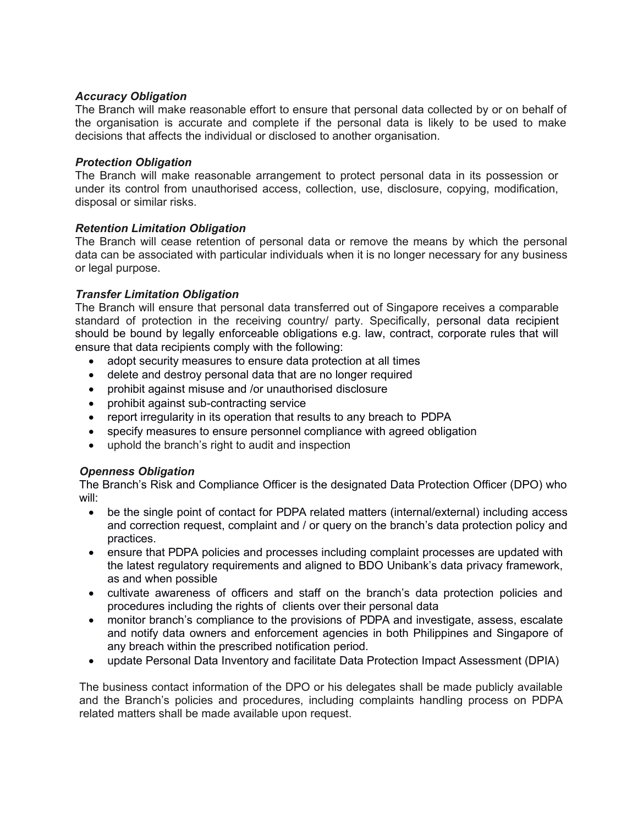# *Accuracy Obligation*

The Branch will make reasonable effort to ensure that personal data collected by or on behalf of the organisation is accurate and complete if the personal data is likely to be used to make decisions that affects the individual or disclosed to another organisation.

# *Protection Obligation*

The Branch will make reasonable arrangement to protect personal data in its possession or under its control from unauthorised access, collection, use, disclosure, copying, modification, disposal or similar risks.

# *Retention Limitation Obligation*

The Branch will cease retention of personal data or remove the means by which the personal data can be associated with particular individuals when it is no longer necessary for any business or legal purpose.

# *Transfer Limitation Obligation*

The Branch will ensure that personal data transferred out of Singapore receives a comparable standard of protection in the receiving country/ party. Specifically, personal data recipient should be bound by legally enforceable obligations e.g. law, contract, corporate rules that will ensure that data recipients comply with the following:

- adopt security measures to ensure data protection at all times
- delete and destroy personal data that are no longer required
- prohibit against misuse and /or unauthorised disclosure
- prohibit against sub-contracting service
- report irregularity in its operation that results to any breach to PDPA
- specify measures to ensure personnel compliance with agreed obligation
- uphold the branch's right to audit and inspection

# *Openness Obligation*

The Branch's Risk and Compliance Officer is the designated Data Protection Officer (DPO) who will:

- be the single point of contact for PDPA related matters (internal/external) including access and correction request, complaint and / or query on the branch's data protection policy and practices.
- ensure that PDPA policies and processes including complaint processes are updated with the latest regulatory requirements and aligned to BDO Unibank's data privacy framework, as and when possible
- cultivate awareness of officers and staff on the branch's data protection policies and procedures including the rights of clients over their personal data
- monitor branch's compliance to the provisions of PDPA and investigate, assess, escalate and notify data owners and enforcement agencies in both Philippines and Singapore of any breach within the prescribed notification period.
- update Personal Data Inventory and facilitate Data Protection Impact Assessment (DPIA)

The business contact information of the DPO or his delegates shall be made publicly available and the Branch's policies and procedures, including complaints handling process on PDPA related matters shall be made available upon request.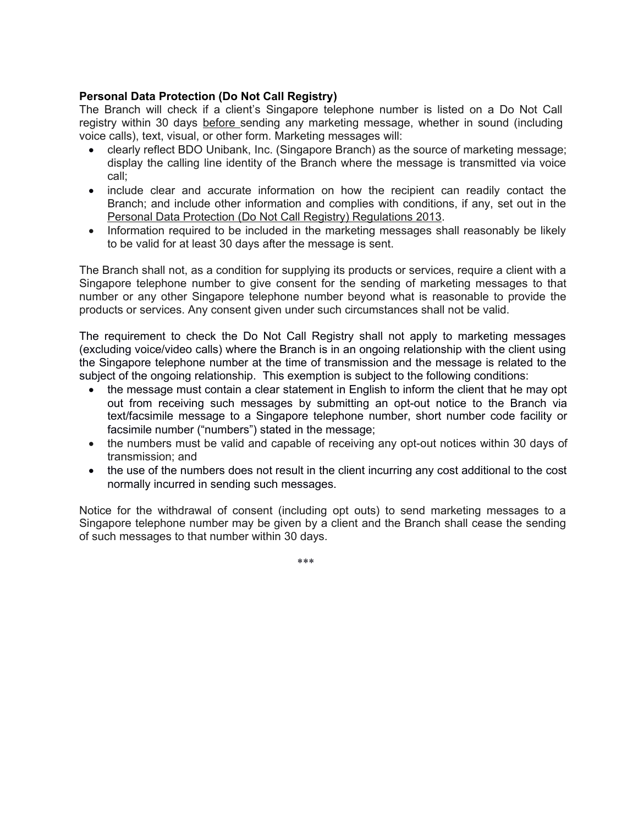# **[Personal Data Protection \(Do Not Call Registry\)](https://sso.agc.gov.sg/SL/PDPA2012-S709-2013?DocDate=20150529)**

The Branch will check if a client's Singapore telephone number is listed on a Do Not Call registry within 30 days before sending any marketing message, whether in sound (including voice calls), text, visual, or other form. Marketing messages will:

- clearly reflect BDO Unibank, Inc. (Singapore Branch) as the source of marketing message; display the calling line identity of the Branch where the message is transmitted via voice call;
- include clear and accurate information on how the recipient can readily contact the Branch; and include other information and complies with conditions, if any, set out in the [Personal Data Protection \(Do Not Call Registry\) Regulations 2013.](https://sso.agc.gov.sg/SL/PDPA2012-S709-2013?DocDate=20150529)
- Information required to be included in the marketing messages shall reasonably be likely to be valid for at least 30 days after the message is sent.

The Branch shall not, as a condition for supplying its products or services, require a client with a Singapore telephone number to give consent for the sending of marketing messages to that number or any other Singapore telephone number beyond what is reasonable to provide the products or services. Any consent given under such circumstances shall not be valid.

The requirement to check the Do Not Call Registry shall not apply to marketing messages (excluding voice/video calls) where the Branch is in an ongoing relationship with the client using the Singapore telephone number at the time of transmission and the message is related to the subject of the ongoing relationship. This exemption is subject to the following conditions:

- the message must contain a clear statement in English to inform the client that he may opt out from receiving such messages by submitting an opt-out notice to the Branch via text/facsimile message to a Singapore telephone number, short number code facility or facsimile number ("numbers") stated in the message;
- the numbers must be valid and capable of receiving any opt-out notices within 30 days of transmission; and
- the use of the numbers does not result in the client incurring any cost additional to the cost normally incurred in sending such messages.

Notice for the withdrawal of consent (including opt outs) to send marketing messages to a Singapore telephone number may be given by a client and the Branch shall cease the sending of such messages to that number within 30 days.

\*\*\*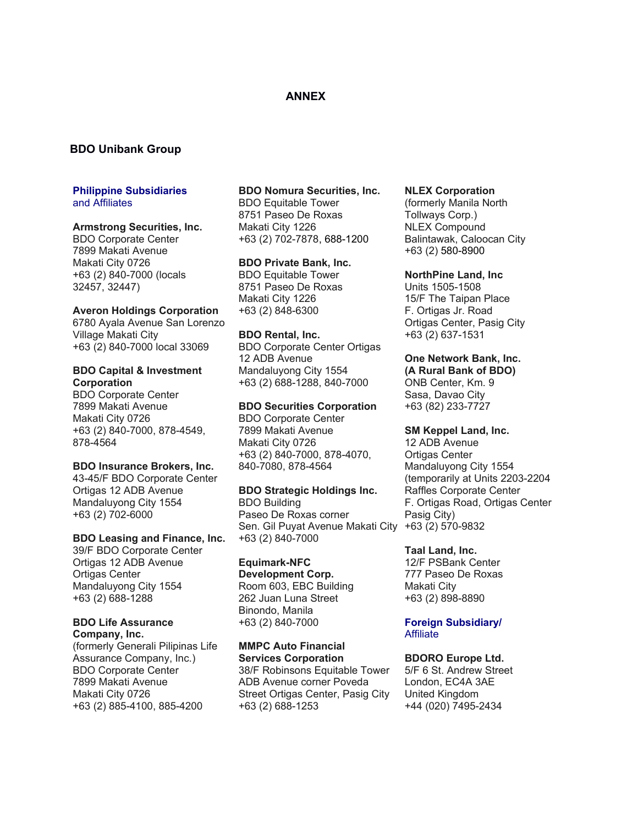## **ANNEX**

## **BDO Unibank Group**

### **Philippine Subsidiaries** and Affiliates

#### **Armstrong Securities, Inc.**

BDO Corporate Center 7899 Makati Avenue Makati City 0726 +63 (2) 840-7000 (locals 32457, 32447)

### **Averon Holdings Corporation**

6780 Ayala Avenue San Lorenzo Village Makati City +63 (2) 840-7000 local 33069

#### **BDO Capital & Investment Corporation**

BDO Corporate Center 7899 Makati Avenue Makati City 0726 +63 (2) 840-7000, 878-4549, 878-4564

#### **BDO Insurance Brokers, Inc.**

43-45/F BDO Corporate Center Ortigas 12 ADB Avenue Mandaluyong City 1554 +63 (2) 702-6000

#### **BDO Leasing and Finance, Inc.**

39/F BDO Corporate Center Ortigas 12 ADB Avenue Ortigas Center Mandaluyong City 1554 +63 (2) 688-1288

# **BDO Life Assurance**

**Company, Inc.** (formerly Generali Pilipinas Life Assurance Company, Inc.) BDO Corporate Center 7899 Makati Avenue Makati City 0726 +63 (2) 885-4100, 885-4200

#### **BDO Nomura Securities, Inc.**

BDO Equitable Tower 8751 Paseo De Roxas Makati City 1226 +63 (2) 702-7878, 688-1200

### **BDO Private Bank, Inc.**

BDO Equitable Tower 8751 Paseo De Roxas Makati City 1226 +63 (2) 848-6300

#### **BDO Rental, Inc.**

BDO Corporate Center Ortigas 12 ADB Avenue Mandaluyong City 1554 +63 (2) 688-1288, 840-7000

#### **BDO Securities Corporation**

BDO Corporate Center 7899 Makati Avenue Makati City 0726 +63 (2) 840-7000, 878-4070, 840-7080, 878-4564

#### **BDO Strategic Holdings Inc.**

BDO Building Paseo De Roxas corner Sen. Gil Puyat Avenue Makati City +63 (2) 570-9832 +63 (2) 840-7000

### **Equimark-NFC**

**Development Corp.** Room 603, EBC Building 262 Juan Luna Street Binondo, Manila +63 (2) 840-7000

#### **MMPC Auto Financial Services Corporation**

38/F Robinsons Equitable Tower ADB Avenue corner Poveda Street Ortigas Center, Pasig City +63 (2) 688-1253

#### **NLEX Corporation**

(formerly Manila North Tollways Corp.) NLEX Compound Balintawak, Caloocan City +63 (2) 580-8900

#### **NorthPine Land, Inc**

Units 1505-1508 15/F The Taipan Place F. Ortigas Jr. Road Ortigas Center, Pasig City +63 (2) 637-1531

### **One Network Bank, Inc.**

**(A Rural Bank of BDO)** ONB Center, Km. 9 Sasa, Davao City +63 (82) 233-7727

### **SM Keppel Land, Inc.**

12 ADB Avenue Ortigas Center Mandaluyong City 1554 (temporarily at Units 2203-2204 Raffles Corporate Center F. Ortigas Road, Ortigas Center Pasig City)

#### **Taal Land, Inc.**

12/F PSBank Center 777 Paseo De Roxas Makati City +63 (2) 898-8890

#### **Foreign Subsidiary/ Affiliate**

### **BDORO Europe Ltd.**

5/F 6 St. Andrew Street London, EC4A 3AE United Kingdom +44 (020) 7495-2434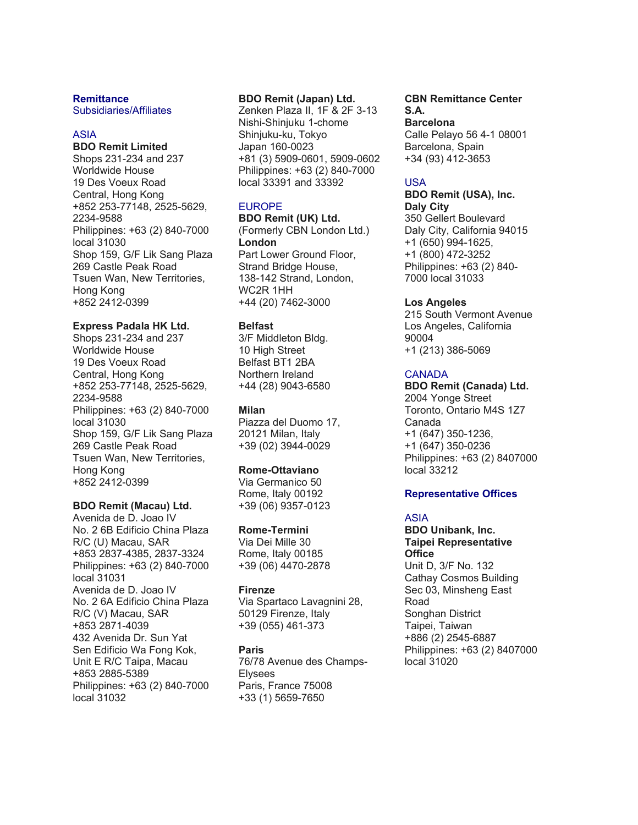#### **Remittance**

Subsidiaries/Affiliates

### ASIA

**BDO Remit Limited** Shops 231-234 and 237 Worldwide House 19 Des Voeux Road Central, Hong Kong +852 253-77148, 2525-5629, 2234-9588 Philippines: +63 (2) 840-7000 local 31030 Shop 159, G/F Lik Sang Plaza 269 Castle Peak Road Tsuen Wan, New Territories, Hong Kong +852 2412-0399

### **Express Padala HK Ltd.**

Shops 231-234 and 237 Worldwide House 19 Des Voeux Road Central, Hong Kong +852 253-77148, 2525-5629, 2234-9588 Philippines: +63 (2) 840-7000 local 31030 Shop 159, G/F Lik Sang Plaza 269 Castle Peak Road Tsuen Wan, New Territories, Hong Kong +852 2412-0399

#### **BDO Remit (Macau) Ltd.**

Avenida de D. Joao IV No. 2 6B Edificio China Plaza R/C (U) Macau, SAR +853 2837-4385, 2837-3324 Philippines: +63 (2) 840-7000 local 31031 Avenida de D. Joao IV No. 2 6A Edificio China Plaza R/C (V) Macau, SAR +853 2871-4039 432 Avenida Dr. Sun Yat Sen Edificio Wa Fong Kok, Unit E R/C Taipa, Macau +853 2885-5389 Philippines: +63 (2) 840-7000 local 31032

### **BDO Remit (Japan) Ltd.**

Zenken Plaza II, 1F & 2F 3-13 Nishi-Shinjuku 1-chome Shinjuku-ku, Tokyo Japan 160-0023 +81 (3) 5909-0601, 5909-0602 Philippines: +63 (2) 840-7000 local 33391 and 33392

### EUROPE

**BDO Remit (UK) Ltd.** (Formerly CBN London Ltd.) **London** Part Lower Ground Floor, Strand Bridge House, 138-142 Strand, London, WC2R 1HH +44 (20) 7462-3000

#### **Belfast**

3/F Middleton Bldg. 10 High Street Belfast BT1 2BA Northern Ireland +44 (28) 9043-6580

### **Milan**

Piazza del Duomo 17, 20121 Milan, Italy +39 (02) 3944-0029

#### **Rome-Ottaviano**

Via Germanico 50 Rome, Italy 00192 +39 (06) 9357-0123

#### **Rome-Termini**

Via Dei Mille 30 Rome, Italy 00185 +39 (06) 4470-2878

### **Firenze**

Via Spartaco Lavagnini 28, 50129 Firenze, Italy +39 (055) 461-373

### **Paris**

76/78 Avenue des Champs-Elysees Paris, France 75008 +33 (1) 5659-7650

#### **CBN Remittance Center S.A. Barcelona**

Calle Pelayo 56 4-1 08001 Barcelona, Spain +34 (93) 412-3653

### USA

**BDO Remit (USA), Inc. Daly City** 350 Gellert Boulevard Daly City, California 94015

+1 (650) 994-1625, +1 (800) 472-3252 Philippines: +63 (2) 840- 7000 local 31033

### **Los Angeles**

215 South Vermont Avenue Los Angeles, California 90004 +1 (213) 386-5069

### **CANADA**

**BDO Remit (Canada) Ltd.** 2004 Yonge Street Toronto, Ontario M4S 1Z7 Canada +1 (647) 350-1236, +1 (647) 350-0236 Philippines: +63 (2) 8407000 local 33212

### **Representative Offices**

### ASIA

**BDO Unibank, Inc. Taipei Representative Office** Unit D, 3/F No. 132 Cathay Cosmos Building Sec 03, Minsheng East Road Songhan District Taipei, Taiwan +886 (2) 2545-6887 Philippines: +63 (2) 8407000 local 31020